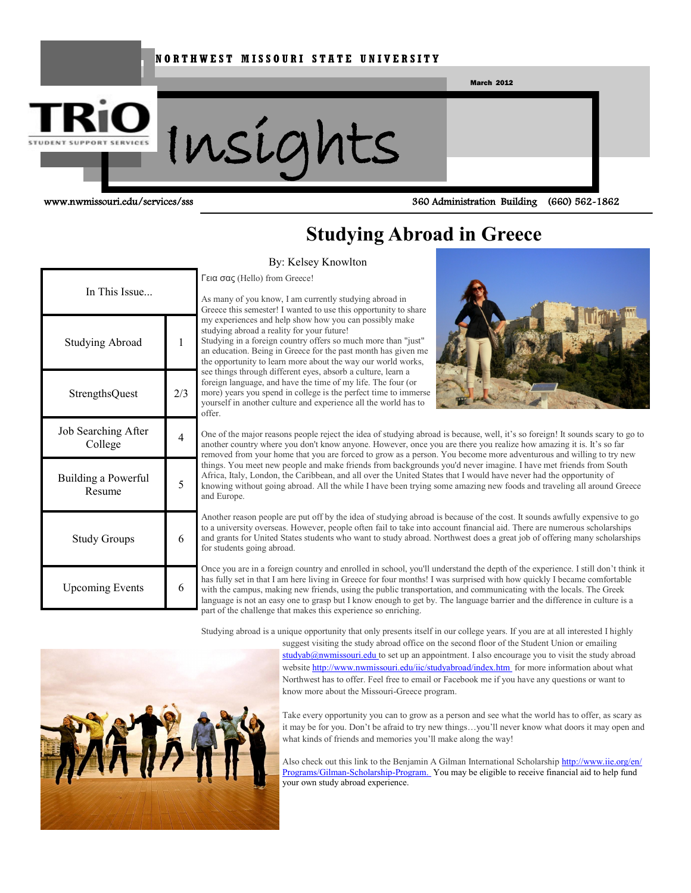#### **N O R T H W E S T M I S S O U R I S T A T E U N I V E R S I T Y**



www.nwmissouri.edu/services/sss 360 Administration Building (660) 562-1862

# **Studying Abroad in Greece**

#### By: Kelsey Knowlton

Γεια σας (Hello) from Greece!

In This Issue... Studying Abroad 1 StrengthsQuest 2/3 Job Searching After College 4 Building a Powerful ng a Poweriui<br>Resume 5 Study Groups 6 Upcoming Events 6

As many of you know, I am currently studying abroad in Greece this semester! I wanted to use this opportunity to share my experiences and help show how you can possibly make studying abroad a reality for your future! Studying in a foreign country offers so much more than "just" an education. Being in Greece for the past month has given me the opportunity to learn more about the way our world works, see things through different eyes, absorb a culture, learn a foreign language, and have the time of my life. The four (or more) years you spend in college is the perfect time to immerse yourself in another culture and experience all the world has to offer.



One of the major reasons people reject the idea of studying abroad is because, well, it's so foreign! It sounds scary to go to another country where you don't know anyone. However, once you are there you realize how amazing it is. It's so far removed from your home that you are forced to grow as a person. You become more adventurous and willing to try new things. You meet new people and make friends from backgrounds you'd never imagine. I have met friends from South Africa, Italy, London, the Caribbean, and all over the United States that I would have never had the opportunity of knowing without going abroad. All the while I have been trying some amazing new foods and traveling all around Greece and Europe.

Another reason people are put off by the idea of studying abroad is because of the cost. It sounds awfully expensive to go to a university overseas. However, people often fail to take into account financial aid. There are numerous scholarships and grants for United States students who want to study abroad. Northwest does a great job of offering many scholarships for students going abroad.

Once you are in a foreign country and enrolled in school, you'll understand the depth of the experience. I still don't think it has fully set in that I am here living in Greece for four months! I was surprised with how quickly I became comfortable with the campus, making new friends, using the public transportation, and communicating with the locals. The Greek language is not an easy one to grasp but I know enough to get by. The language barrier and the difference in culture is a part of the challenge that makes this experience so enriching.

Studying abroad is a unique opportunity that only presents itself in our college years. If you are at all interested I highly

suggest visiting the study abroad office on the second floor of the Student Union or emailing studyab@nwmissouri.edu to set up an appointment. I also encourage you to visit the study abroad website http://www.nwmissouri.edu/iic/studyabroad/index.htm for more information about what Northwest has to offer. Feel free to email or Facebook me if you have any questions or want to know more about the Missouri-Greece program.

Take every opportunity you can to grow as a person and see what the world has to offer, as scary as it may be for you. Don't be afraid to try new things…you'll never know what doors it may open and what kinds of friends and memories you'll make along the way!

Also check out this link to the Benjamin A Gilman International Scholarship http://www.iie.org/en/ Programs/Gilman-Scholarship-Program. You may be eligible to receive financial aid to help fund your own study abroad experience.

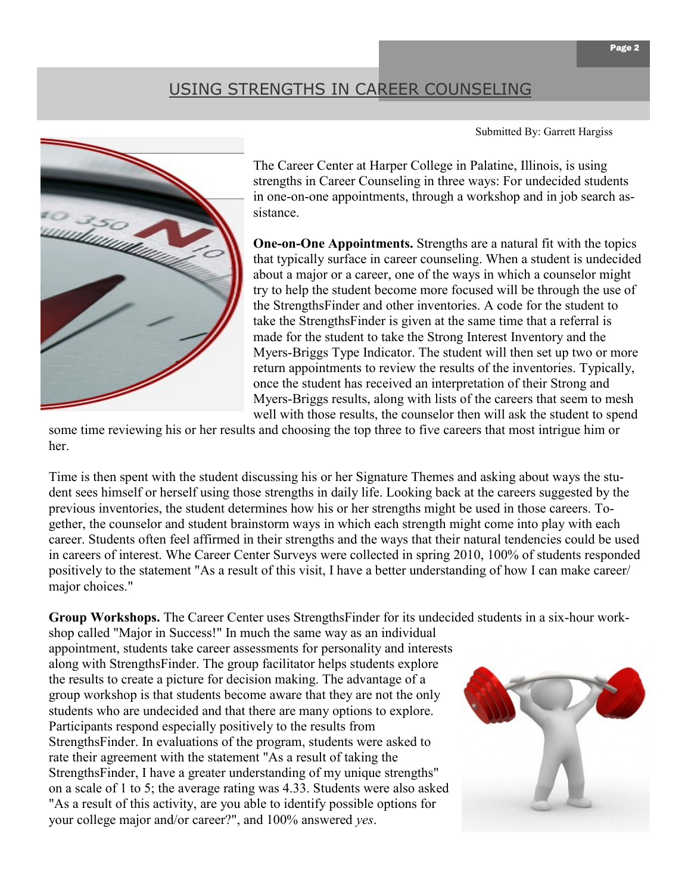# USING STRENGTHS IN CAREER COUNSELING

Submitted By: Garrett Hargiss



The Career Center at Harper College in Palatine, Illinois, is using strengths in Career Counseling in three ways: For undecided students in one-on-one appointments, through a workshop and in job search assistance.

**One-on-One Appointments.** Strengths are a natural fit with the topics that typically surface in career counseling. When a student is undecided about a major or a career, one of the ways in which a counselor might try to help the student become more focused will be through the use of the StrengthsFinder and other inventories. A code for the student to take the StrengthsFinder is given at the same time that a referral is made for the student to take the Strong Interest Inventory and the Myers-Briggs Type Indicator. The student will then set up two or more return appointments to review the results of the inventories. Typically, once the student has received an interpretation of their Strong and Myers-Briggs results, along with lists of the careers that seem to mesh well with those results, the counselor then will ask the student to spend

some time reviewing his or her results and choosing the top three to five careers that most intrigue him or her.

Time is then spent with the student discussing his or her Signature Themes and asking about ways the student sees himself or herself using those strengths in daily life. Looking back at the careers suggested by the previous inventories, the student determines how his or her strengths might be used in those careers. Together, the counselor and student brainstorm ways in which each strength might come into play with each career. Students often feel affirmed in their strengths and the ways that their natural tendencies could be used in careers of interest. Whe Career Center Surveys were collected in spring 2010, 100% of students responded positively to the statement "As a result of this visit, I have a better understanding of how I can make career/ major choices."

**Group Workshops.** The Career Center uses StrengthsFinder for its undecided students in a six-hour work-

shop called "Major in Success!" In much the same way as an individual appointment, students take career assessments for personality and interests along with StrengthsFinder. The group facilitator helps students explore the results to create a picture for decision making. The advantage of a group workshop is that students become aware that they are not the only students who are undecided and that there are many options to explore. Participants respond especially positively to the results from StrengthsFinder. In evaluations of the program, students were asked to rate their agreement with the statement "As a result of taking the StrengthsFinder, I have a greater understanding of my unique strengths" on a scale of 1 to 5; the average rating was 4.33. Students were also asked "As a result of this activity, are you able to identify possible options for your college major and/or career?", and 100% answered *yes*.

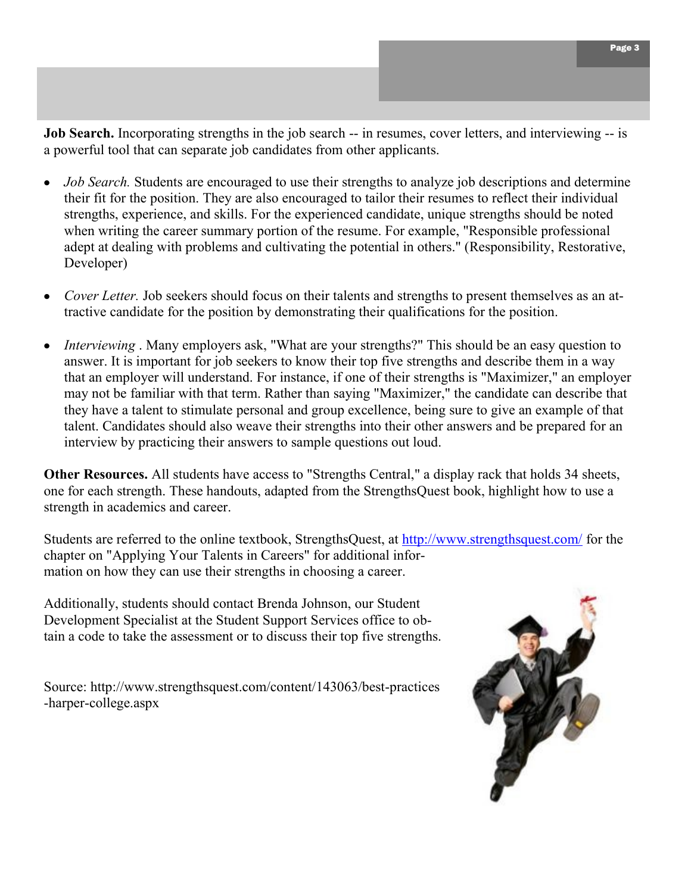**Job Search.** Incorporating strengths in the job search -- in resumes, cover letters, and interviewing -- is a powerful tool that can separate job candidates from other applicants.

- *Job Search.* Students are encouraged to use their strengths to analyze job descriptions and determine  $\bullet$ their fit for the position. They are also encouraged to tailor their resumes to reflect their individual strengths, experience, and skills. For the experienced candidate, unique strengths should be noted when writing the career summary portion of the resume. For example, "Responsible professional adept at dealing with problems and cultivating the potential in others." (Responsibility, Restorative, Developer)
- *Cover Letter.* Job seekers should focus on their talents and strengths to present themselves as an attractive candidate for the position by demonstrating their qualifications for the position.
- *Interviewing* . Many employers ask, "What are your strengths?" This should be an easy question to answer. It is important for job seekers to know their top five strengths and describe them in a way that an employer will understand. For instance, if one of their strengths is "Maximizer," an employer may not be familiar with that term. Rather than saying "Maximizer," the candidate can describe that they have a talent to stimulate personal and group excellence, being sure to give an example of that talent. Candidates should also weave their strengths into their other answers and be prepared for an interview by practicing their answers to sample questions out loud.

**Other Resources.** All students have access to "Strengths Central," a display rack that holds 34 sheets, one for each strength. These handouts, adapted from the StrengthsQuest book, highlight how to use a strength in academics and career.

Students are referred to the online textbook, StrengthsQuest, at<http://www.strengthsquest.com/> for the chapter on "Applying Your Talents in Careers" for additional information on how they can use their strengths in choosing a career.

Additionally, students should contact Brenda Johnson, our Student Development Specialist at the Student Support Services office to obtain a code to take the assessment or to discuss their top five strengths.

Source: http://www.strengthsquest.com/content/143063/best-practices -harper-college.aspx

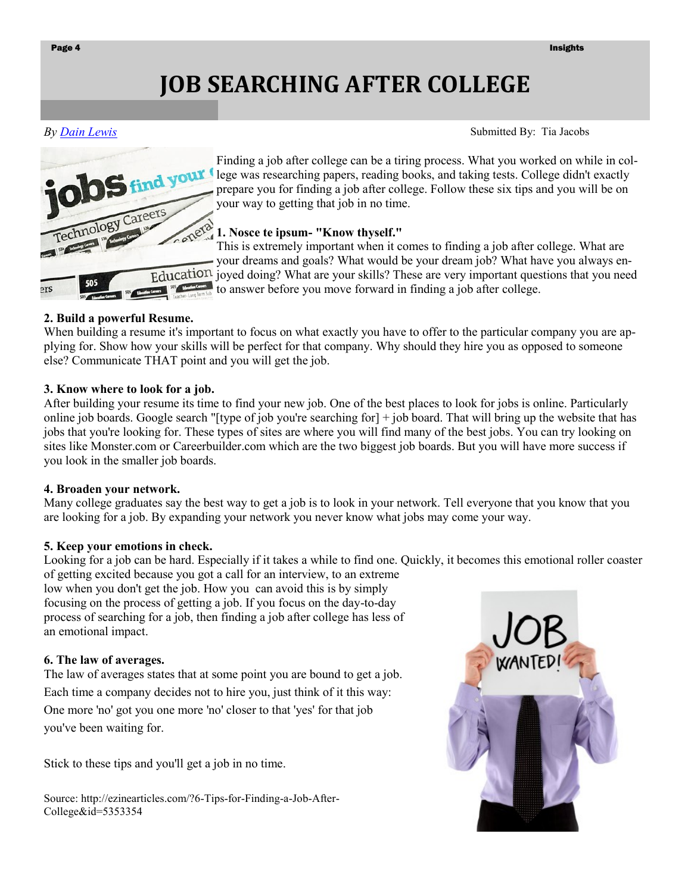# **JOB SEARCHING AFTER COLLEGE**

*By [Dain Lewis](http://ezinearticles.com/?expert=Dain_Lewis)* 



Finding a job after college can be a tiring process. What you worked on while in college was researching papers, reading books, and taking tests. College didn't exactly prepare you for finding a job after college. Follow these six tips and you will be on your way to getting that job in no time.

## **1. Nosce te ipsum- "Know thyself."**

This is extremely important when it comes to finding a job after college. What are your dreams and goals? What would be your dream job? What have you always en-Education joyed doing? What are your skills? These are very important questions that you need to answer before you move forward in finding a job after college.

### **2. Build a powerful Resume.**

When building a resume it's important to focus on what exactly you have to offer to the particular company you are applying for. Show how your skills will be perfect for that company. Why should they hire you as opposed to someone else? Communicate THAT point and you will get the job.

### **3. Know where to look for a job.**

After building your resume its time to find your new job. One of the best places to look for jobs is online. Particularly online job boards. Google search "[type of job you're searching for] + job board. That will bring up the website that has jobs that you're looking for. These types of sites are where you will find many of the best jobs. You can try looking on sites like Monster.com or Careerbuilder.com which are the two biggest job boards. But you will have more success if you look in the smaller job boards.

#### **4. Broaden your network.**

Many college graduates say the best way to get a job is to look in your network. Tell everyone that you know that you are looking for a job. By expanding your network you never know what jobs may come your way.

## **5. Keep your emotions in check.**

Looking for a job can be hard. Especially if it takes a while to find one. Quickly, it becomes this emotional roller coaster

of getting excited because you got a call for an interview, to an extreme low when you don't get the job. How you can avoid this is by simply focusing on the process of getting a job. If you focus on the day-to-day process of searching for a job, then finding a job after college has less of an emotional impact.

## **6. The law of averages.**

The law of averages states that at some point you are bound to get a job. Each time a company decides not to hire you, just think of it this way: One more 'no' got you one more 'no' closer to that 'yes' for that job you've been waiting for.

Stick to these tips and you'll get a job in no time.

Source: http://ezinearticles.com/?6-Tips-for-Finding-a-Job-After-College&id=5353354



Submitted By: Tia Jacobs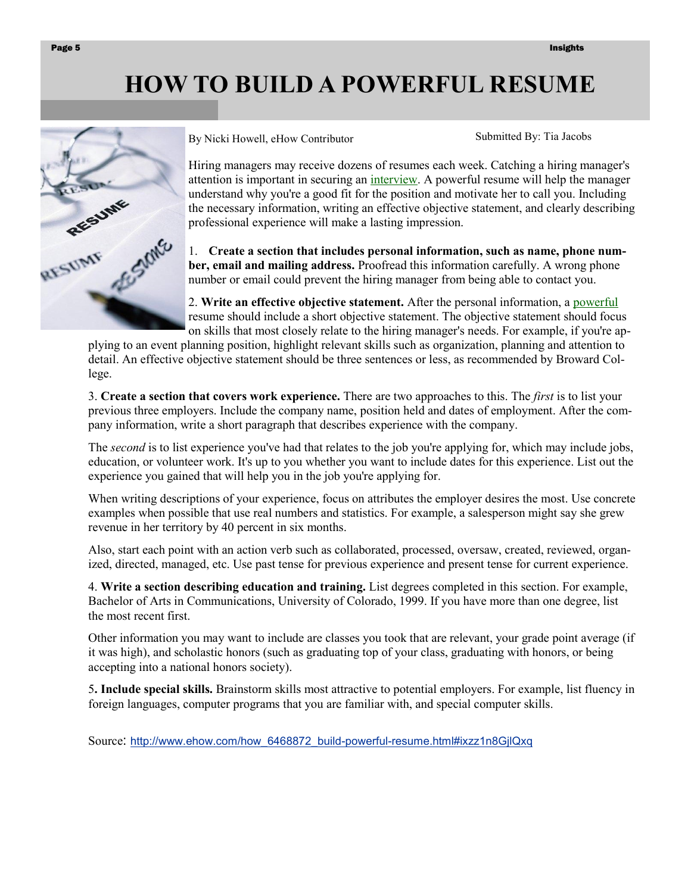# **HOW TO BUILD A POWERFUL RESUME**



By Nicki Howell, eHow Contributor

Submitted By: Tia Jacobs

Hiring managers may receive dozens of resumes each week. Catching a hiring manager's attention is important in securing an [interview.](http://www.ehow.com/how_6468872_build-powerful-resume.html) A powerful resume will help the manager understand why you're a good fit for the position and motivate her to call you. Including the necessary information, writing an effective objective statement, and clearly describing professional experience will make a lasting impression.

1. **Create a section that includes personal information, such as name, phone number, email and mailing address.** Proofread this information carefully. A wrong phone number or email could prevent the hiring manager from being able to contact you.

2. **Write an effective objective statement.** After the personal information, a [powerful](http://www.ehow.com/how_6468872_build-powerful-resume.html) resume should include a short objective statement. The objective statement should focus on skills that most closely relate to the hiring manager's needs. For example, if you're ap-

plying to an event planning position, highlight relevant skills such as organization, planning and attention to detail. An effective objective statement should be three sentences or less, as recommended by Broward College.

3. **Create a section that covers work experience.** There are two approaches to this. The *first* is to list your previous three employers. Include the company name, position held and dates of employment. After the company information, write a short paragraph that describes experience with the company.

The *second* is to list experience you've had that relates to the job you're applying for, which may include jobs, education, or volunteer work. It's up to you whether you want to include dates for this experience. List out the experience you gained that will help you in the job you're applying for.

When writing descriptions of your experience, focus on attributes the employer desires the most. Use concrete examples when possible that use real numbers and statistics. For example, a salesperson might say she grew revenue in her territory by 40 percent in six months.

Also, start each point with an action verb such as collaborated, processed, oversaw, created, reviewed, organized, directed, managed, etc. Use past tense for previous experience and present tense for current experience.

4. **Write a section describing education and training.** List degrees completed in this section. For example, Bachelor of Arts in Communications, University of Colorado, 1999. If you have more than one degree, list the most recent first.

Other information you may want to include are classes you took that are relevant, your grade point average (if it was high), and scholastic honors (such as graduating top of your class, graduating with honors, or being accepting into a national honors society).

5**. Include special skills.** Brainstorm skills most attractive to potential employers. For example, list fluency in foreign languages, computer programs that you are familiar with, and special computer skills.

Source: [http://www.ehow.com/how\\_6468872\\_build-powerful-resume.html#ixzz1n8GjlQxq](http://www.ehow.com/how_6468872_build-powerful-resume.html#ixzz1n8GjlQxq)